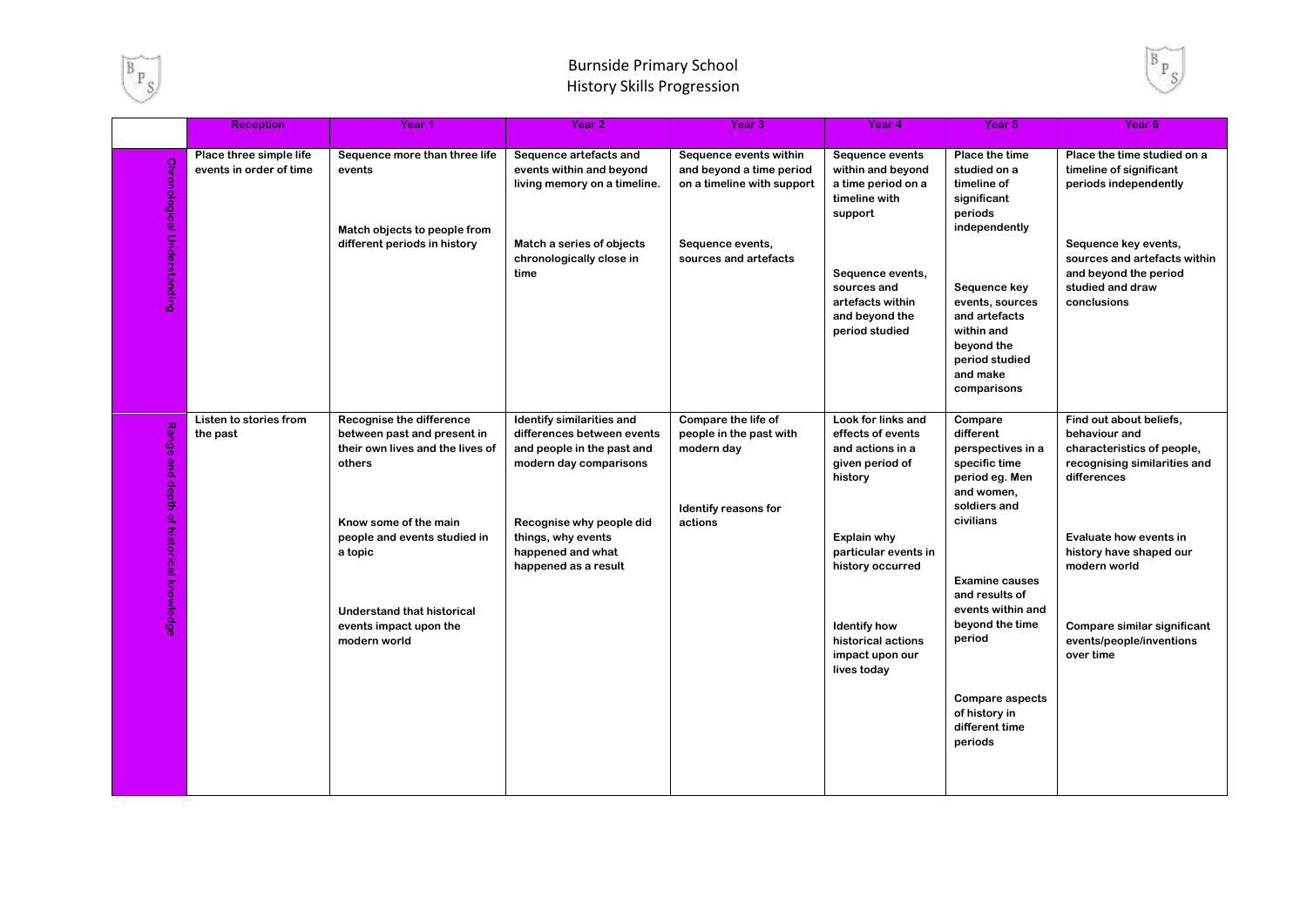$\overline{\left[\begin{smallmatrix} B & & \\ & P & \\ & & S \end{smallmatrix}\right]}$ 

## Burnside Primary School History Skills Progression



|                                         | <b>Reception</b>                                   | Year 1                                                                                                                                                                                                                                                   | Year 2                                                                                                                                                                                                         | Year 3                                                                                                                        | Year 4                                                                                                                                                                                                                                     | Year 5                                                                                                                                                                                                                                                                                | Year 6                                                                                                                                                                                                                                                             |
|-----------------------------------------|----------------------------------------------------|----------------------------------------------------------------------------------------------------------------------------------------------------------------------------------------------------------------------------------------------------------|----------------------------------------------------------------------------------------------------------------------------------------------------------------------------------------------------------------|-------------------------------------------------------------------------------------------------------------------------------|--------------------------------------------------------------------------------------------------------------------------------------------------------------------------------------------------------------------------------------------|---------------------------------------------------------------------------------------------------------------------------------------------------------------------------------------------------------------------------------------------------------------------------------------|--------------------------------------------------------------------------------------------------------------------------------------------------------------------------------------------------------------------------------------------------------------------|
| <b>Chronological Understanding</b>      | Place three simple life<br>events in order of time | Sequence more than three life<br>events<br>Match objects to people from<br>different periods in history                                                                                                                                                  | Sequence artefacts and<br>events within and beyond<br>living memory on a timeline.<br>Match a series of objects<br>chronologically close in<br>time                                                            | Sequence events within<br>and beyond a time period<br>on a timeline with support<br>Sequence events,<br>sources and artefacts | Sequence events<br>within and beyond<br>a time period on a<br>timeline with<br>support<br>Sequence events,<br>sources and<br>artefacts within<br>and beyond the<br>period studied                                                          | Place the time<br>studied on a<br>timeline of<br>significant<br>periods<br>independently<br>Sequence key<br>events, sources<br>and artefacts<br>within and<br>beyond the<br>period studied<br>and make<br>comparisons                                                                 | Place the time studied on a<br>timeline of significant<br>periods independently<br>Sequence key events,<br>sources and artefacts within<br>and beyond the period<br>studied and draw<br>conclusions                                                                |
| Range and depth of historical knowledge | Listen to stories from<br>the past                 | Recognise the difference<br>between past and present in<br>their own lives and the lives of<br>others<br>Know some of the main<br>people and events studied in<br>a topic<br><b>Understand that historical</b><br>events impact upon the<br>modern world | Identify similarities and<br>differences between events<br>and people in the past and<br>modern day comparisons<br>Recognise why people did<br>things, why events<br>happened and what<br>happened as a result | Compare the life of<br>people in the past with<br>modern day<br>Identify reasons for<br>actions                               | Look for links and<br>effects of events<br>and actions in a<br>given period of<br>history<br><b>Explain why</b><br>particular events in<br>history occurred<br><b>Identify how</b><br>historical actions<br>impact upon our<br>lives today | Compare<br>different<br>perspectives in a<br>specific time<br>period eg. Men<br>and women,<br>soldiers and<br>civilians<br><b>Examine causes</b><br>and results of<br>events within and<br>beyond the time<br>period<br>Compare aspects<br>of history in<br>different time<br>periods | Find out about beliefs,<br>behaviour and<br>characteristics of people,<br>recognising similarities and<br>differences<br>Evaluate how events in<br>history have shaped our<br>modern world<br>Compare similar significant<br>events/people/inventions<br>over time |